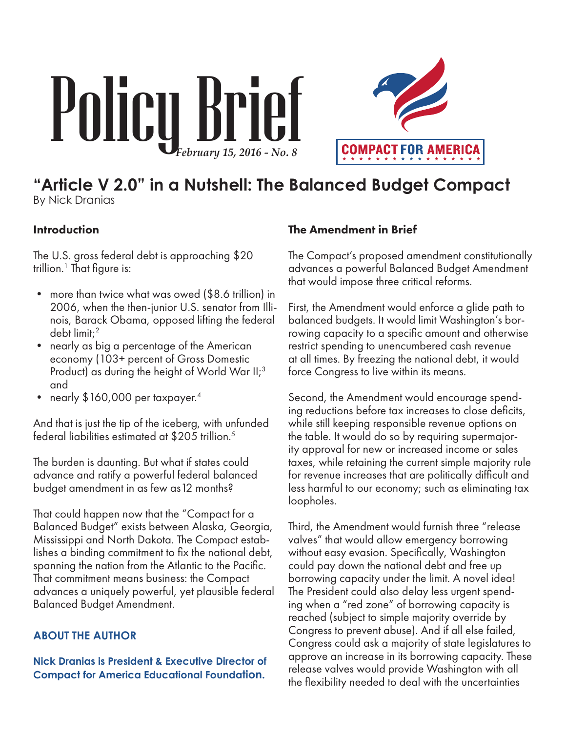# Policy Brief



# **"Article V 2.0" in a Nutshell: The Balanced Budget Compact** By Nick Dranias

## Introduction

The U.S. gross federal debt is approaching \$20 trillion.<sup>1</sup> That figure is:

- more than twice what was owed (\$8.6 trillion) in 2006, when the then-junior U.S. senator from Illinois, Barack Obama, opposed lifting the federal debt limit;2
- nearly as big a percentage of the American economy (103+ percent of Gross Domestic Product) as during the height of World War II;<sup>3</sup> and
- nearly \$160,000 per taxpayer.<sup>4</sup>

And that is just the tip of the iceberg, with unfunded federal liabilities estimated at \$205 trillion.<sup>5</sup>

The burden is daunting. But what if states could advance and ratify a powerful federal balanced budget amendment in as few as12 months?

That could happen now that the "Compact for a Balanced Budget" exists between Alaska, Georgia, Mississippi and North Dakota. The Compact establishes a binding commitment to fix the national debt, spanning the nation from the Atlantic to the Pacific. That commitment means business: the Compact advances a uniquely powerful, yet plausible federal Balanced Budget Amendment.

#### **ABOUT THE AUTHOR**

**Nick Dranias is President & Executive Director of Compact for America Educational Foundation.**

#### The Amendment in Brief

The Compact's proposed amendment constitutionally advances a powerful Balanced Budget Amendment that would impose three critical reforms.

First, the Amendment would enforce a glide path to balanced budgets. It would limit Washington's borrowing capacity to a specific amount and otherwise restrict spending to unencumbered cash revenue at all times. By freezing the national debt, it would force Congress to live within its means.

Second, the Amendment would encourage spending reductions before tax increases to close deficits, while still keeping responsible revenue options on the table. It would do so by requiring supermajority approval for new or increased income or sales taxes, while retaining the current simple majority rule for revenue increases that are politically difficult and less harmful to our economy; such as eliminating tax loopholes.

Third, the Amendment would furnish three "release valves" that would allow emergency borrowing without easy evasion. Specifically, Washington could pay down the national debt and free up borrowing capacity under the limit. A novel idea! The President could also delay less urgent spending when a "red zone" of borrowing capacity is reached (subject to simple majority override by Congress to prevent abuse). And if all else failed, Congress could ask a majority of state legislatures to approve an increase in its borrowing capacity. These release valves would provide Washington with all the flexibility needed to deal with the uncertainties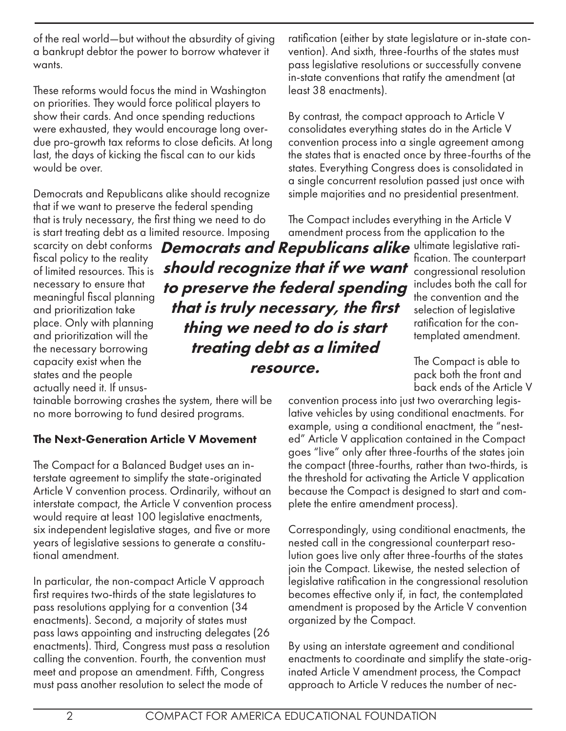of the real world—but without the absurdity of giving a bankrupt debtor the power to borrow whatever it wants.

These reforms would focus the mind in Washington on priorities. They would force political players to show their cards. And once spending reductions were exhausted, they would encourage long overdue pro-growth tax reforms to close deficits. At long last, the days of kicking the fiscal can to our kids would be over.

Democrats and Republicans alike should recognize that if we want to preserve the federal spending that is truly necessary, the first thing we need to do is start treating debt as a limited resource. Imposing

fiscal policy to the reality of limited resources. This is necessary to ensure that meaningful fiscal planning and prioritization take place. Only with planning and prioritization will the the necessary borrowing capacity exist when the states and the people actually need it. If unsus-

scarcity on debt conforms Democrats and Republicans alike ultimate legislative ratishould recognize that if we want to preserve the federal spending that is truly necessary, the first thing we need to do is start treating debt as a limited resource.

tainable borrowing crashes the system, there will be no more borrowing to fund desired programs.

#### The Next-Generation Article V Movement

The Compact for a Balanced Budget uses an interstate agreement to simplify the state-originated Article V convention process. Ordinarily, without an interstate compact, the Article V convention process would require at least 100 legislative enactments, six independent legislative stages, and five or more years of legislative sessions to generate a constitutional amendment.

In particular, the non-compact Article V approach first requires two-thirds of the state legislatures to pass resolutions applying for a convention (34 enactments). Second, a majority of states must pass laws appointing and instructing delegates (26 enactments). Third, Congress must pass a resolution calling the convention. Fourth, the convention must meet and propose an amendment. Fifth, Congress must pass another resolution to select the mode of

ratification (either by state legislature or in-state convention). And sixth, three-fourths of the states must pass legislative resolutions or successfully convene in-state conventions that ratify the amendment (at least 38 enactments).

By contrast, the compact approach to Article V consolidates everything states do in the Article V convention process into a single agreement among the states that is enacted once by three-fourths of the states. Everything Congress does is consolidated in a single concurrent resolution passed just once with simple majorities and no presidential presentment.

The Compact includes everything in the Article V amendment process from the application to the

fication. The counterpart congressional resolution includes both the call for the convention and the selection of legislative ratification for the contemplated amendment.

The Compact is able to pack both the front and back ends of the Article V

convention process into just two overarching legislative vehicles by using conditional enactments. For example, using a conditional enactment, the "nested" Article V application contained in the Compact goes "live" only after three-fourths of the states join the compact (three-fourths, rather than two-thirds, is the threshold for activating the Article V application because the Compact is designed to start and complete the entire amendment process).

Correspondingly, using conditional enactments, the nested call in the congressional counterpart resolution goes live only after three-fourths of the states join the Compact. Likewise, the nested selection of legislative ratification in the congressional resolution becomes effective only if, in fact, the contemplated amendment is proposed by the Article V convention organized by the Compact.

By using an interstate agreement and conditional enactments to coordinate and simplify the state-originated Article V amendment process, the Compact approach to Article V reduces the number of nec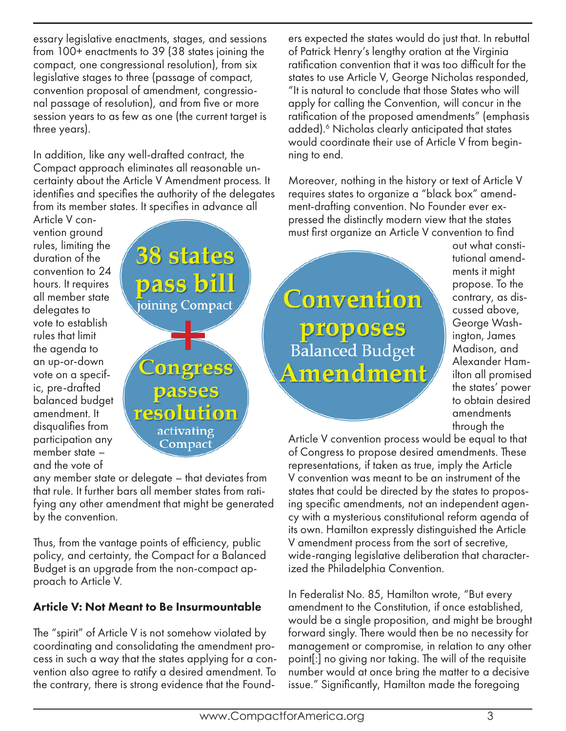essary legislative enactments, stages, and sessions from 100+ enactments to 39 (38 states joining the compact, one congressional resolution), from six legislative stages to three (passage of compact, convention proposal of amendment, congressional passage of resolution), and from five or more session years to as few as one (the current target is three years).

In addition, like any well-drafted contract, the Compact approach eliminates all reasonable uncertainty about the Article V Amendment process. It identifies and specifies the authority of the delegates from its member states. It specifies in advance all

Article V convention ground rules, limiting the duration of the convention to 24 hours. It requires all member state delegates to vote to establish rules that limit the agenda to an up-or-down vote on a specific, pre-drafted balanced budget amendment. It disqualifies from participation any member state – and the vote of



any member state or delegate – that deviates from that rule. It further bars all member states from ratifying any other amendment that might be generated by the convention.

Thus, from the vantage points of efficiency, public policy, and certainty, the Compact for a Balanced Budget is an upgrade from the non-compact approach to Article V.

# Article V: Not Meant to Be Insurmountable

The "spirit" of Article V is not somehow violated by coordinating and consolidating the amendment process in such a way that the states applying for a convention also agree to ratify a desired amendment. To the contrary, there is strong evidence that the Founders expected the states would do just that. In rebuttal of Patrick Henry's lengthy oration at the Virginia ratification convention that it was too difficult for the states to use Article V, George Nicholas responded, "It is natural to conclude that those States who will apply for calling the Convention, will concur in the ratification of the proposed amendments" (emphasis added).<sup>6</sup> Nicholas clearly anticipated that states would coordinate their use of Article V from beginning to end.

Moreover, nothing in the history or text of Article V requires states to organize a "black box" amendment-drafting convention. No Founder ever expressed the distinctly modern view that the states must first organize an Article V convention to find

Convention proposes Balanced Budget Amendment out what constitutional amendments it might propose. To the contrary, as discussed above, George Washington, James Madison, and Alexander Hamilton all promised the states' power to obtain desired amendments through the

Article V convention process would be equal to that of Congress to propose desired amendments. These representations, if taken as true, imply the Article V convention was meant to be an instrument of the states that could be directed by the states to proposing specific amendments, not an independent agency with a mysterious constitutional reform agenda of its own. Hamilton expressly distinguished the Article V amendment process from the sort of secretive, wide-ranging legislative deliberation that characterized the Philadelphia Convention.

In Federalist No. 85, Hamilton wrote, "But every amendment to the Constitution, if once established, would be a single proposition, and might be brought forward singly. There would then be no necessity for management or compromise, in relation to any other point[:] no giving nor taking. The will of the requisite number would at once bring the matter to a decisive issue." Significantly, Hamilton made the foregoing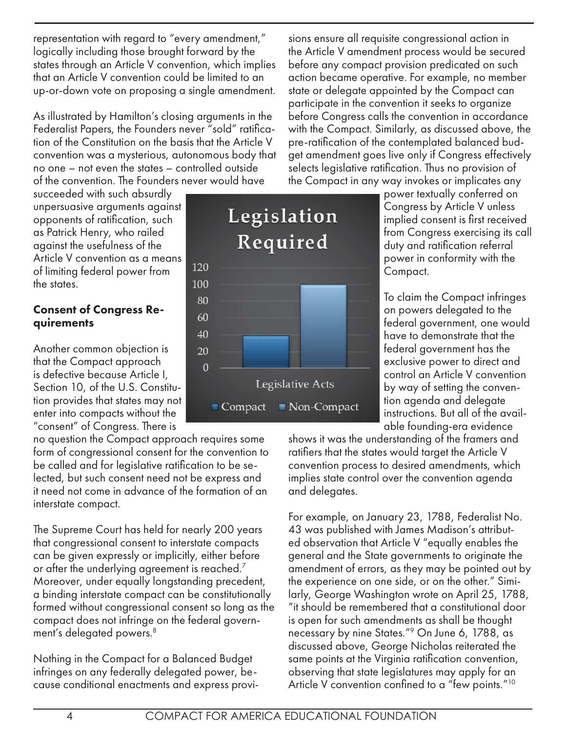representation with regard to "every amendment," logically including those brought forward by the states through an Article V convention, which implies that an Article V convention could be limited to an up-or-down vote on proposing a single amendment.

As illustrated by Hamilton's closing arguments in the Federalist Papers, the Founders never "sold" ratification of the Constitution on the basis that the Article V convention was a mysterious, autonomous body that no one – not even the states – controlled outside of the convention. The Founders never would have

succeeded with such absurdly unpersuasive arguments against opponents of ratification, such as Patrick Henry, who railed against the usefulness of the Article V convention as a means of limiting federal power from the states.

#### Consent of Congress Requirements

Another common objection is that the Compact approach is defective because Article I, Section 10, of the U.S. Constitution provides that states may not enter into compacts without the "consent" of Congress. There is

no question the Compact approach requires some form of congressional consent for the convention to be called and for legislative ratification to be selected, but such consent need not be express and it need not come in advance of the formation of an interstate compact.

The Supreme Court has held for nearly 200 years that congressional consent to interstate compacts can be given expressly or implicitly, either before or after the underlying agreement is reached.<sup>7</sup> Moreover, under equally longstanding precedent, a binding interstate compact can be constitutionally formed without congressional consent so long as the compact does not infringe on the federal government's delegated powers.8

Nothing in the Compact for a Balanced Budget infringes on any federally delegated power, because conditional enactments and express provi-

sions ensure all requisite congressional action in the Article V amendment process would be secured before any compact provision predicated on such action became operative. For example, no member state or delegate appointed by the Compact can participate in the convention it seeks to organize before Congress calls the convention in accordance with the Compact. Similarly, as discussed above, the pre-ratification of the contemplated balanced budget amendment goes live only if Congress effectively selects legislative ratification. Thus no provision of the Compact in any way invokes or implicates any

power textually conferred on Congress by Article V unless implied consent is first received from Congress exercising its call duty and ratification referral power in conformity with the Compact.

To claim the Compact infringes on powers delegated to the federal government, one would have to demonstrate that the federal government has the exclusive power to direct and control an Article V convention by way of setting the convention agenda and delegate instructions. But all of the available founding-era evidence

shows it was the understanding of the framers and ratifiers that the states would target the Article V convention process to desired amendments, which implies state control over the convention agenda and delegates.

For example, on January 23, 1788, Federalist No. 43 was published with James Madison's attributed observation that Article V "equally enables the general and the State governments to originate the amendment of errors, as they may be pointed out by the experience on one side, or on the other." Similarly, George Washington wrote on April 25, 1788, "it should be remembered that a constitutional door is open for such amendments as shall be thought necessary by nine States."9 On June 6, 1788, as discussed above, George Nicholas reiterated the same points at the Virginia ratification convention, observing that state legislatures may apply for an Article V convention confined to a "few points."<sup>10</sup>



• Non-Compact

 $\blacksquare$  Compact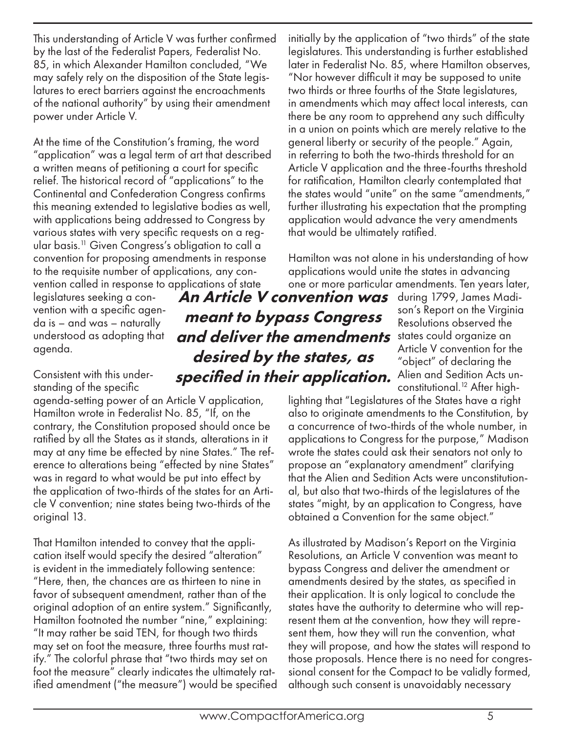This understanding of Article V was further confirmed by the last of the Federalist Papers, Federalist No. 85, in which Alexander Hamilton concluded, "We may safely rely on the disposition of the State legislatures to erect barriers against the encroachments of the national authority" by using their amendment power under Article V.

At the time of the Constitution's framing, the word "application" was a legal term of art that described a written means of petitioning a court for specific relief. The historical record of "applications" to the Continental and Confederation Congress confirms this meaning extended to legislative bodies as well, with applications being addressed to Congress by various states with very specific requests on a regular basis.11 Given Congress's obligation to call a convention for proposing amendments in response to the requisite number of applications, any convention called in response to applications of state

legislatures seeking a convention with a specific agenda is – and was – naturally understood as adopting that agenda.

Consistent with this understanding of the specific

agenda-setting power of an Article V application, Hamilton wrote in Federalist No. 85, "If, on the contrary, the Constitution proposed should once be ratified by all the States as it stands, alterations in it may at any time be effected by nine States." The reference to alterations being "effected by nine States" was in regard to what would be put into effect by the application of two-thirds of the states for an Article V convention; nine states being two-thirds of the original 13.

That Hamilton intended to convey that the application itself would specify the desired "alteration" is evident in the immediately following sentence: "Here, then, the chances are as thirteen to nine in favor of subsequent amendment, rather than of the original adoption of an entire system." Significantly, Hamilton footnoted the number "nine," explaining: "It may rather be said TEN, for though two thirds may set on foot the measure, three fourths must ratify." The colorful phrase that "two thirds may set on foot the measure" clearly indicates the ultimately ratified amendment ("the measure") would be specified initially by the application of "two thirds" of the state legislatures. This understanding is further established later in Federalist No. 85, where Hamilton observes, "Nor however difficult it may be supposed to unite two thirds or three fourths of the State legislatures, in amendments which may affect local interests, can there be any room to apprehend any such difficulty in a union on points which are merely relative to the general liberty or security of the people." Again, in referring to both the two-thirds threshold for an Article V application and the three-fourths threshold for ratification, Hamilton clearly contemplated that the states would "unite" on the same "amendments," further illustrating his expectation that the prompting application would advance the very amendments that would be ultimately ratified.

Hamilton was not alone in his understanding of how applications would unite the states in advancing one or more particular amendments. Ten years later,

An Article V convention was during 1799, James Madiand deliver the amendments states could organize an meant to bypass Congress desired by the states, as specified in their application.

son's Report on the Virginia Resolutions observed the Article V convention for the "object" of declaring the Alien and Sedition Acts unconstitutional.<sup>12</sup> After high-

lighting that "Legislatures of the States have a right also to originate amendments to the Constitution, by a concurrence of two-thirds of the whole number, in applications to Congress for the purpose," Madison wrote the states could ask their senators not only to propose an "explanatory amendment" clarifying that the Alien and Sedition Acts were unconstitutional, but also that two-thirds of the legislatures of the states "might, by an application to Congress, have obtained a Convention for the same object."

As illustrated by Madison's Report on the Virginia Resolutions, an Article V convention was meant to bypass Congress and deliver the amendment or amendments desired by the states, as specified in their application. It is only logical to conclude the states have the authority to determine who will represent them at the convention, how they will represent them, how they will run the convention, what they will propose, and how the states will respond to those proposals. Hence there is no need for congressional consent for the Compact to be validly formed, although such consent is unavoidably necessary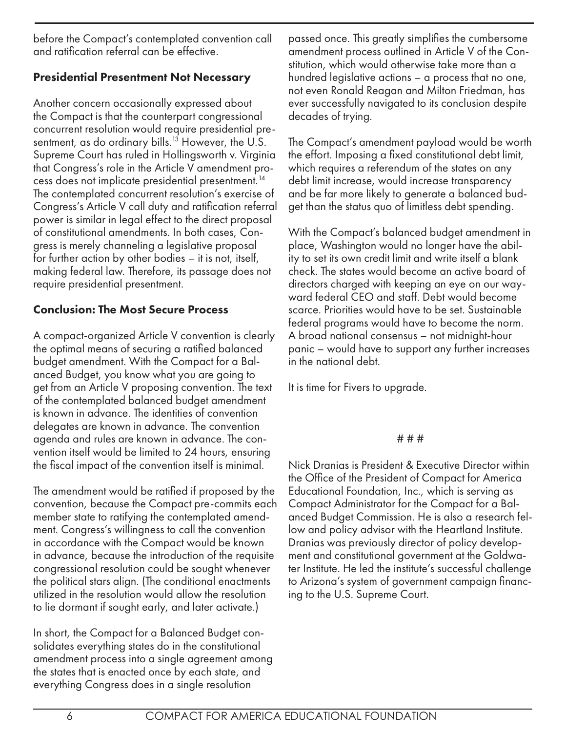before the Compact's contemplated convention call and ratification referral can be effective.

## Presidential Presentment Not Necessary

Another concern occasionally expressed about the Compact is that the counterpart congressional concurrent resolution would require presidential presentment, as do ordinary bills.<sup>13</sup> However, the U.S. Supreme Court has ruled in Hollingsworth v. Virginia that Congress's role in the Article V amendment process does not implicate presidential presentment.14 The contemplated concurrent resolution's exercise of Congress's Article V call duty and ratification referral power is similar in legal effect to the direct proposal of constitutional amendments. In both cases, Congress is merely channeling a legislative proposal for further action by other bodies – it is not, itself, making federal law. Therefore, its passage does not require presidential presentment.

## Conclusion: The Most Secure Process

A compact-organized Article V convention is clearly the optimal means of securing a ratified balanced budget amendment. With the Compact for a Balanced Budget, you know what you are going to get from an Article V proposing convention. The text of the contemplated balanced budget amendment is known in advance. The identities of convention delegates are known in advance. The convention agenda and rules are known in advance. The convention itself would be limited to 24 hours, ensuring the fiscal impact of the convention itself is minimal.

The amendment would be ratified if proposed by the convention, because the Compact pre-commits each member state to ratifying the contemplated amendment. Congress's willingness to call the convention in accordance with the Compact would be known in advance, because the introduction of the requisite congressional resolution could be sought whenever the political stars align. (The conditional enactments utilized in the resolution would allow the resolution to lie dormant if sought early, and later activate.)

In short, the Compact for a Balanced Budget consolidates everything states do in the constitutional amendment process into a single agreement among the states that is enacted once by each state, and everything Congress does in a single resolution

passed once. This greatly simplifies the cumbersome amendment process outlined in Article V of the Constitution, which would otherwise take more than a hundred legislative actions – a process that no one, not even Ronald Reagan and Milton Friedman, has ever successfully navigated to its conclusion despite decades of trying.

The Compact's amendment payload would be worth the effort. Imposing a fixed constitutional debt limit, which requires a referendum of the states on any debt limit increase, would increase transparency and be far more likely to generate a balanced budget than the status quo of limitless debt spending.

With the Compact's balanced budget amendment in place, Washington would no longer have the ability to set its own credit limit and write itself a blank check. The states would become an active board of directors charged with keeping an eye on our wayward federal CEO and staff. Debt would become scarce. Priorities would have to be set. Sustainable federal programs would have to become the norm. A broad national consensus – not midnight-hour panic – would have to support any further increases in the national debt.

It is time for Fivers to upgrade.

#### # # #

Nick Dranias is President & Executive Director within the Office of the President of Compact for America Educational Foundation, Inc., which is serving as Compact Administrator for the Compact for a Balanced Budget Commission. He is also a research fellow and policy advisor with the Heartland Institute. Dranias was previously director of policy development and constitutional government at the Goldwater Institute. He led the institute's successful challenge to Arizona's system of government campaign financing to the U.S. Supreme Court.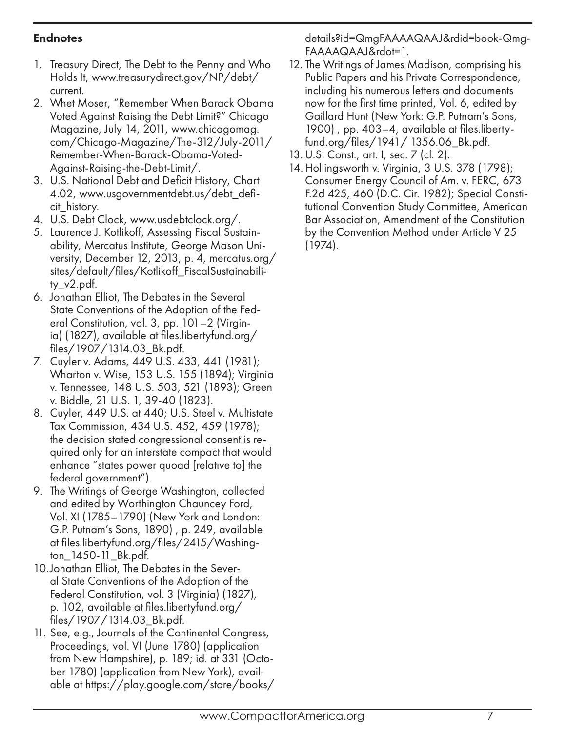### Endnotes

- 1. Treasury Direct, The Debt to the Penny and Who Holds It, www.treasurydirect.gov/NP/debt/ current.
- 2. Whet Moser, "Remember When Barack Obama Voted Against Raising the Debt Limit?" Chicago Magazine, July 14, 2011, www.chicagomag. com/Chicago-Magazine/The-312/July-2011/ Remember-When-Barack-Obama-Voted-Against-Raising-the-Debt-Limit/.
- 3. U.S. National Debt and Deficit History, Chart 4.02, www.usgovernmentdebt.us/debt\_deficit\_history.
- 4. U.S. Debt Clock, www.usdebtclock.org/.
- 5. Laurence J. Kotlikoff, Assessing Fiscal Sustainability, Mercatus Institute, George Mason University, December 12, 2013, p. 4, mercatus.org/ sites/default/files/Kotlikoff\_FiscalSustainability\_v2.pdf.
- 6. Jonathan Elliot, The Debates in the Several State Conventions of the Adoption of the Federal Constitution, vol. 3, pp. 101–2 (Virginia) (1827), available at files.libertyfund.org/ files/1907/1314.03\_Bk.pdf.
- 7. Cuyler v. Adams, 449 U.S. 433, 441 (1981); Wharton v. Wise, 153 U.S. 155 (1894); Virginia v. Tennessee, 148 U.S. 503, 521 (1893); Green v. Biddle, 21 U.S. 1, 39-40 (1823).
- 8. Cuyler, 449 U.S. at 440; U.S. Steel v. Multistate Tax Commission, 434 U.S. 452, 459 (1978); the decision stated congressional consent is required only for an interstate compact that would enhance "states power quoad [relative to] the federal government").
- 9. The Writings of George Washington, collected and edited by Worthington Chauncey Ford, Vol. XI (1785–1790) (New York and London: G.P. Putnam's Sons, 1890) , p. 249, available at files.libertyfund.org/files/2415/Washington\_1450-11\_Bk.pdf.
- 10.Jonathan Elliot, The Debates in the Several State Conventions of the Adoption of the Federal Constitution, vol. 3 (Virginia) (1827), p. 102, available at files.libertyfund.org/ files/1907/1314.03\_Bk.pdf.
- 11. See, e.g., Journals of the Continental Congress, Proceedings, vol. VI (June 1780) (application from New Hampshire), p. 189; id. at 331 (October 1780) (application from New York), available at https://play.google.com/store/books/

details?id=QmgFAAAAQAAJ&rdid=book-Qmg-FAAAAQAAJ&rdot=1.

- 12. The Writings of James Madison, comprising his Public Papers and his Private Correspondence, including his numerous letters and documents now for the first time printed, Vol. 6, edited by Gaillard Hunt (New York: G.P. Putnam's Sons, 1900) , pp. 403–4, available at files.libertyfund.org/files/1941/ 1356.06\_Bk.pdf.
- 13.U.S. Const., art. I, sec. 7 (cl. 2).
- 14.Hollingsworth v. Virginia, 3 U.S. 378 (1798); Consumer Energy Council of Am. v. FERC, 673 F.2d 425, 460 (D.C. Cir. 1982); Special Constitutional Convention Study Committee, American Bar Association, Amendment of the Constitution by the Convention Method under Article V 25 (1974).